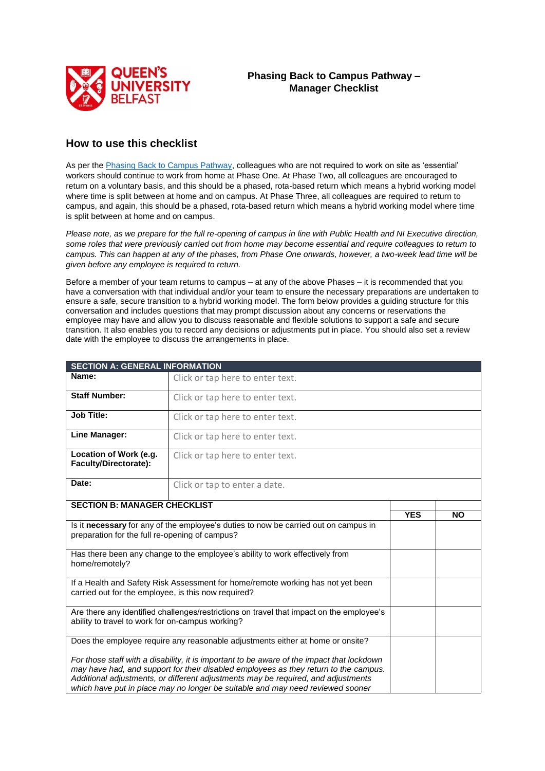

## **How to use this checklist**

As per th[e Phasing Back to Campus Pathway,](https://www.qub.ac.uk/directorates/HumanResources/covid-guidance/phasing-back-to-campus/) colleagues who are not required to work on site as 'essential' workers should continue to work from home at Phase One. At Phase Two, all colleagues are encouraged to return on a voluntary basis, and this should be a phased, rota-based return which means a hybrid working model where time is split between at home and on campus. At Phase Three, all colleagues are required to return to campus, and again, this should be a phased, rota-based return which means a hybrid working model where time is split between at home and on campus.

*Please note, as we prepare for the full re-opening of campus in line with Public Health and NI Executive direction, some roles that were previously carried out from home may become essential and require colleagues to return to campus. This can happen at any of the phases, from Phase One onwards, however, a two-week lead time will be given before any employee is required to return.* 

Before a member of your team returns to campus – at any of the above Phases – it is recommended that you have a conversation with that individual and/or your team to ensure the necessary preparations are undertaken to ensure a safe, secure transition to a hybrid working model. The form below provides a guiding structure for this conversation and includes questions that may prompt discussion about any concerns or reservations the employee may have and allow you to discuss reasonable and flexible solutions to support a safe and secure transition. It also enables you to record any decisions or adjustments put in place. You should also set a review date with the employee to discuss the arrangements in place.

| <b>SECTION A: GENERAL INFORMATION</b>                                                                                                                                                                                                                                                                                                                     |                                  |            |           |  |
|-----------------------------------------------------------------------------------------------------------------------------------------------------------------------------------------------------------------------------------------------------------------------------------------------------------------------------------------------------------|----------------------------------|------------|-----------|--|
| Name:                                                                                                                                                                                                                                                                                                                                                     | Click or tap here to enter text. |            |           |  |
| <b>Staff Number:</b>                                                                                                                                                                                                                                                                                                                                      | Click or tap here to enter text. |            |           |  |
| <b>Job Title:</b>                                                                                                                                                                                                                                                                                                                                         | Click or tap here to enter text. |            |           |  |
| <b>Line Manager:</b>                                                                                                                                                                                                                                                                                                                                      | Click or tap here to enter text. |            |           |  |
| Location of Work (e.g.<br>Faculty/Directorate):                                                                                                                                                                                                                                                                                                           | Click or tap here to enter text. |            |           |  |
| Date:                                                                                                                                                                                                                                                                                                                                                     | Click or tap to enter a date.    |            |           |  |
| <b>SECTION B: MANAGER CHECKLIST</b>                                                                                                                                                                                                                                                                                                                       |                                  |            |           |  |
|                                                                                                                                                                                                                                                                                                                                                           |                                  | <b>YES</b> | <b>NO</b> |  |
| Is it necessary for any of the employee's duties to now be carried out on campus in<br>preparation for the full re-opening of campus?                                                                                                                                                                                                                     |                                  |            |           |  |
| Has there been any change to the employee's ability to work effectively from<br>home/remotely?                                                                                                                                                                                                                                                            |                                  |            |           |  |
| If a Health and Safety Risk Assessment for home/remote working has not yet been<br>carried out for the employee, is this now required?                                                                                                                                                                                                                    |                                  |            |           |  |
| Are there any identified challenges/restrictions on travel that impact on the employee's<br>ability to travel to work for on-campus working?                                                                                                                                                                                                              |                                  |            |           |  |
| Does the employee require any reasonable adjustments either at home or onsite?                                                                                                                                                                                                                                                                            |                                  |            |           |  |
| For those staff with a disability, it is important to be aware of the impact that lockdown<br>may have had, and support for their disabled employees as they return to the campus.<br>Additional adjustments, or different adjustments may be required, and adjustments<br>which have put in place may no longer be suitable and may need reviewed sooner |                                  |            |           |  |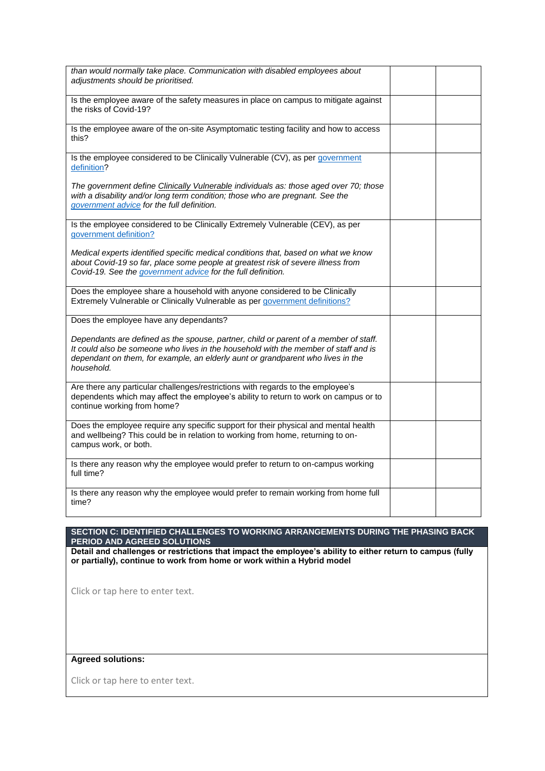| than would normally take place. Communication with disabled employees about<br>adjustments should be prioritised.                                                                                                                                                            |  |
|------------------------------------------------------------------------------------------------------------------------------------------------------------------------------------------------------------------------------------------------------------------------------|--|
| Is the employee aware of the safety measures in place on campus to mitigate against<br>the risks of Covid-19?                                                                                                                                                                |  |
| Is the employee aware of the on-site Asymptomatic testing facility and how to access<br>this?                                                                                                                                                                                |  |
| Is the employee considered to be Clinically Vulnerable (CV), as per government<br>definition?                                                                                                                                                                                |  |
| The government define Clinically Vulnerable individuals as: those aged over 70; those<br>with a disability and/or long term condition; those who are pregnant. See the<br>government advice for the full definition.                                                         |  |
| Is the employee considered to be Clinically Extremely Vulnerable (CEV), as per<br>government definition?                                                                                                                                                                     |  |
| Medical experts identified specific medical conditions that, based on what we know<br>about Covid-19 so far, place some people at greatest risk of severe illness from<br>Covid-19. See the government advice for the full definition.                                       |  |
| Does the employee share a household with anyone considered to be Clinically<br>Extremely Vulnerable or Clinically Vulnerable as per government definitions?                                                                                                                  |  |
| Does the employee have any dependants?                                                                                                                                                                                                                                       |  |
| Dependants are defined as the spouse, partner, child or parent of a member of staff.<br>It could also be someone who lives in the household with the member of staff and is<br>dependant on them, for example, an elderly aunt or grandparent who lives in the<br>household. |  |
| Are there any particular challenges/restrictions with regards to the employee's<br>dependents which may affect the employee's ability to return to work on campus or to<br>continue working from home?                                                                       |  |
| Does the employee require any specific support for their physical and mental health<br>and wellbeing? This could be in relation to working from home, returning to on-<br>campus work, or both.                                                                              |  |
| Is there any reason why the employee would prefer to return to on-campus working<br>full time?                                                                                                                                                                               |  |
| Is there any reason why the employee would prefer to remain working from home full<br>time?                                                                                                                                                                                  |  |

## **SECTION C: IDENTIFIED CHALLENGES TO WORKING ARRANGEMENTS DURING THE PHASING BACK PERIOD AND AGREED SOLUTIONS**

**Detail and challenges or restrictions that impact the employee's ability to either return to campus (fully or partially), continue to work from home or work within a Hybrid model** 

Click or tap here to enter text.

## **Agreed solutions:**

Click or tap here to enter text.